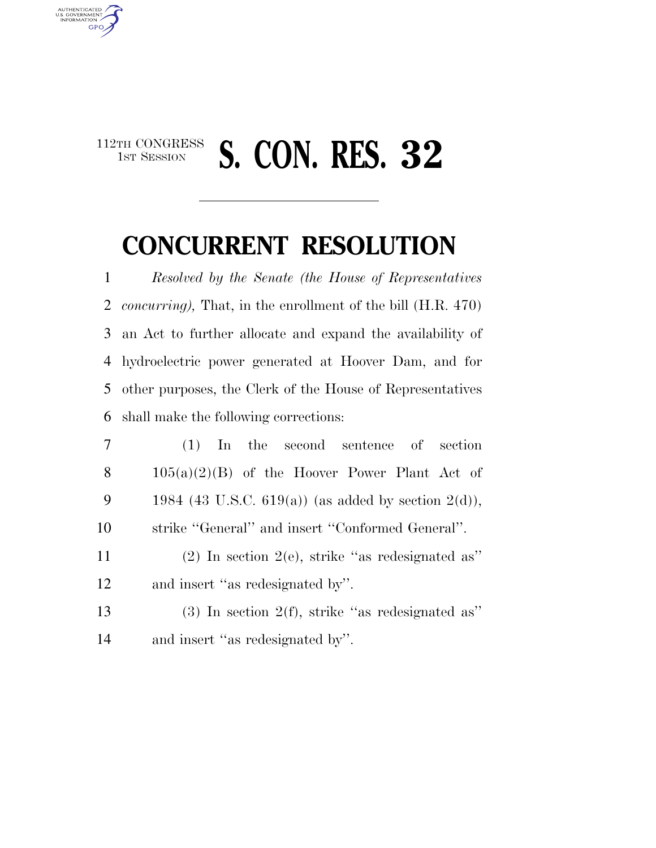## $\begin{array}{c} \textbf{112TH CONGRESS} \\ \textbf{1ST SESION} \end{array}$ 1ST SESSION **S. CON. RES. 32**

AUTHENTICATED<br>U.S. GOVERNMENT<br>INFORMATION **GPO** 

## **CONCURRENT RESOLUTION**

 *Resolved by the Senate (the House of Representatives concurring),* That, in the enrollment of the bill (H.R. 470) an Act to further allocate and expand the availability of hydroelectric power generated at Hoover Dam, and for other purposes, the Clerk of the House of Representatives shall make the following corrections:

| $7\phantom{.0}$ | $(1)$ In the second sentence of section                                      |
|-----------------|------------------------------------------------------------------------------|
| 8               | $105(a)(2)(B)$ of the Hoover Power Plant Act of                              |
| 9               | 1984 (43 U.S.C. 619(a)) (as added by section $2(d)$ ),                       |
| 10              | strike "General" and insert "Conformed General".                             |
| 11              | $(2)$ In section 2(e), strike "as redesignated as"                           |
| 12              | and insert "as redesignated by".                                             |
| $1^{\circ}$     | ,,,<br>$\cdots$ $\alpha/\alpha$ $\cdots$ $\alpha$ $\cdots$ $\cdots$ $\cdots$ |

 (3) In section 2(f), strike ''as redesignated as'' and insert ''as redesignated by''.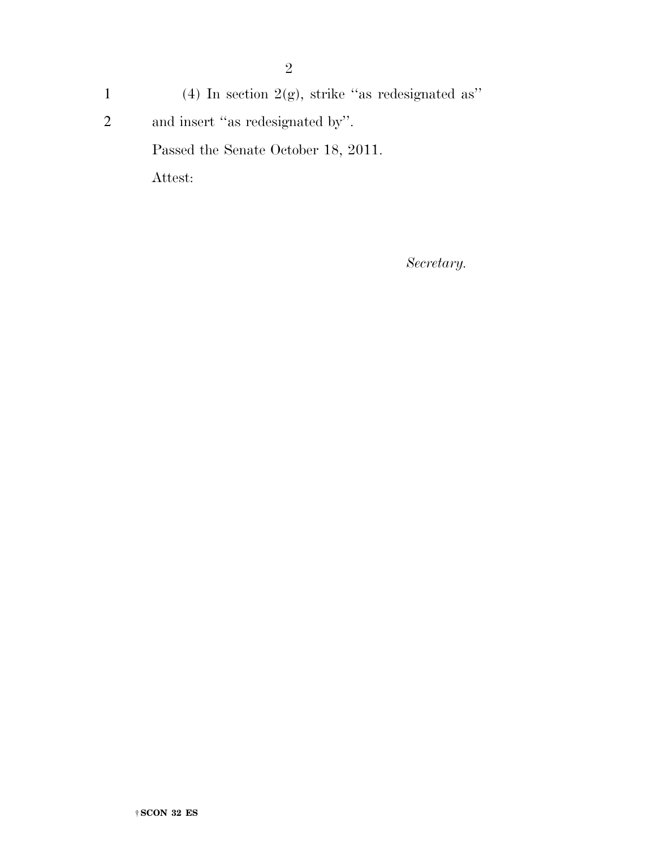1 (4) In section  $2(g)$ , strike "as redesignated as" 2 and insert ''as redesignated by''. Passed the Senate October 18, 2011. Attest:

*Secretary.*